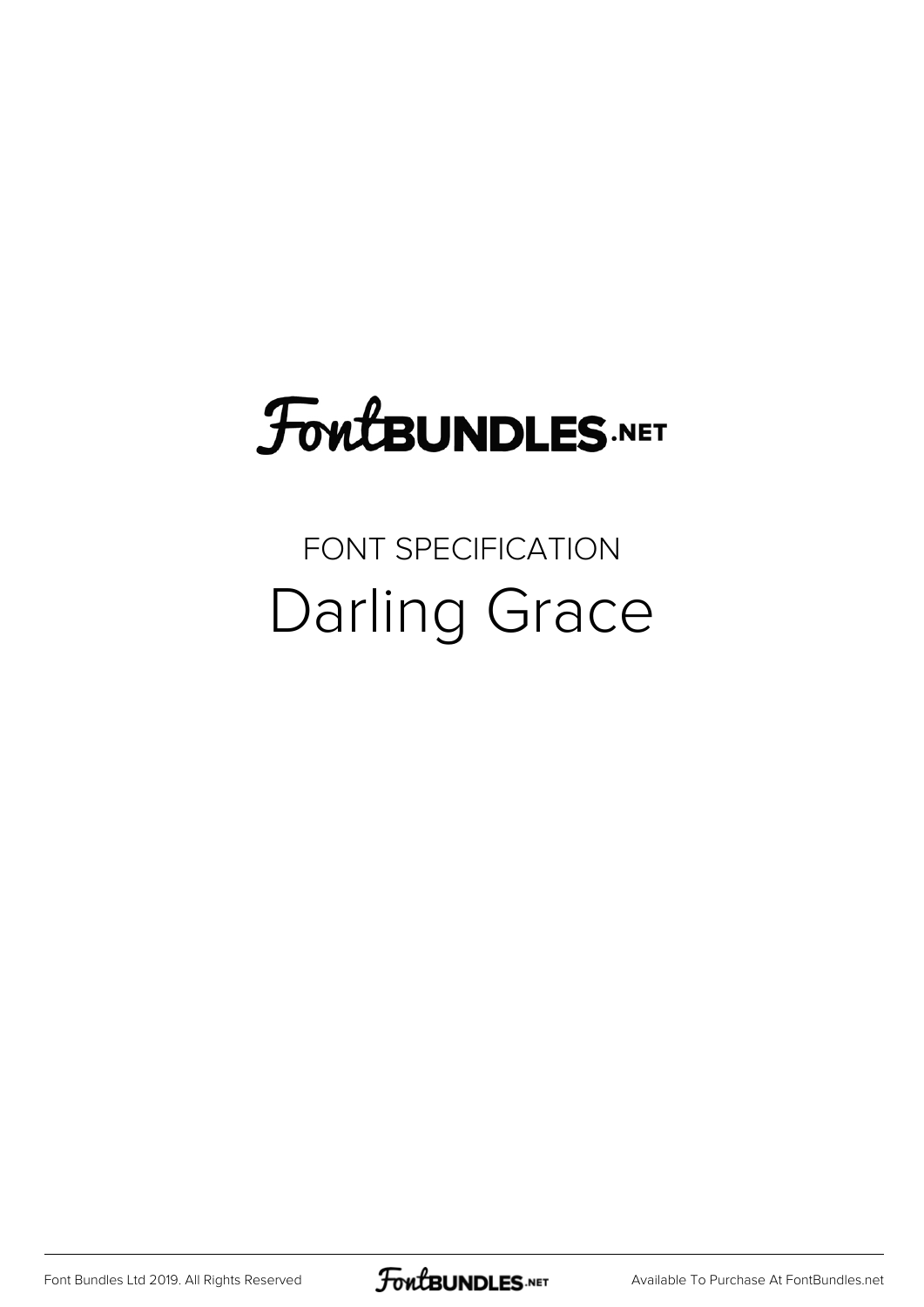## FoutBUNDLES.NET

#### FONT SPECIFICATION Darling Grace

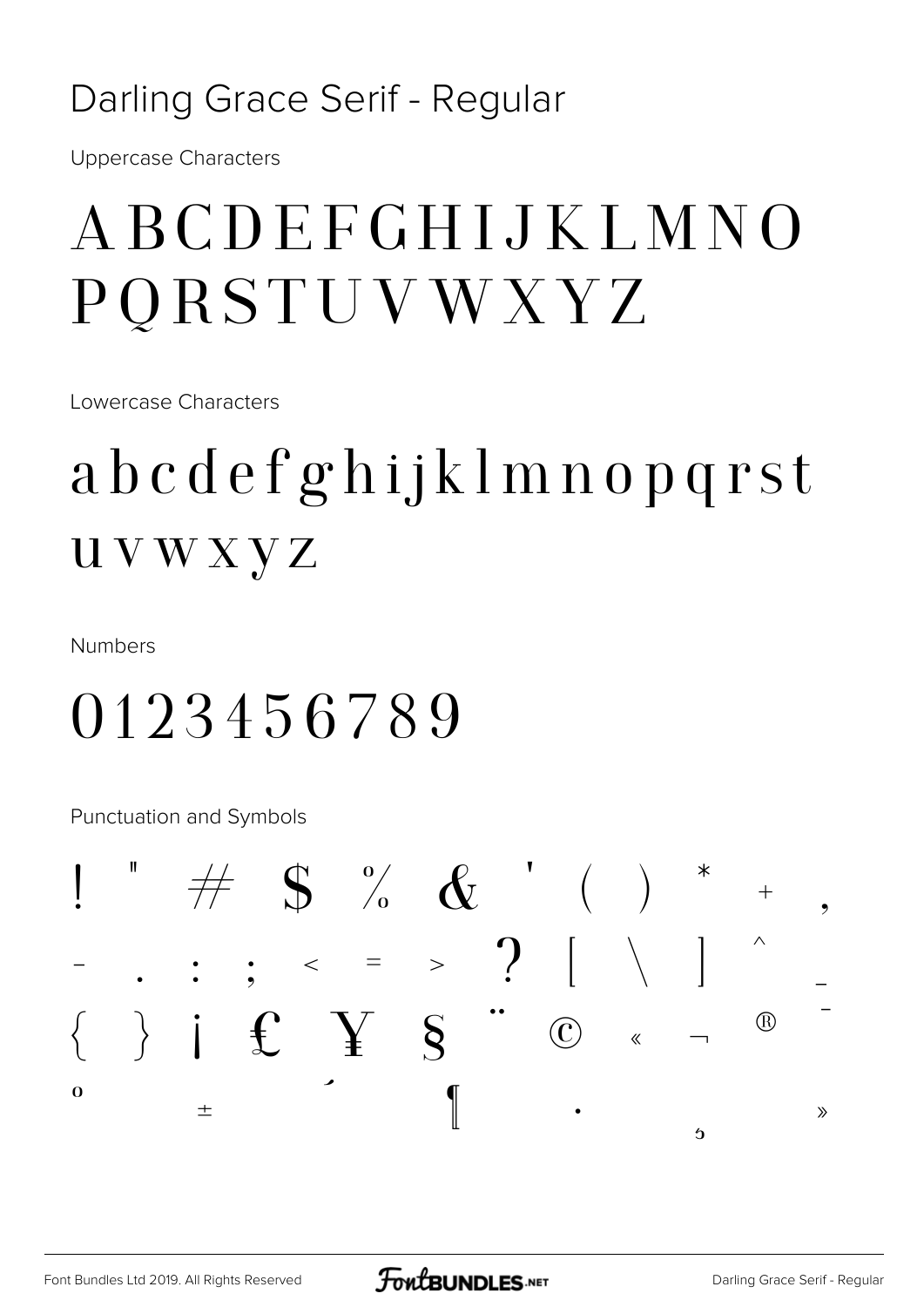#### Darling Grace Serif - Regular

**Uppercase Characters** 

## ABCDEFGHIJKLMNO PQRSTUVWXYZ

Lowercase Characters

## abcdefghijklmnopqrst **UVWXYZ**

**Numbers** 

#### 0123456789

**Punctuation and Symbols** 

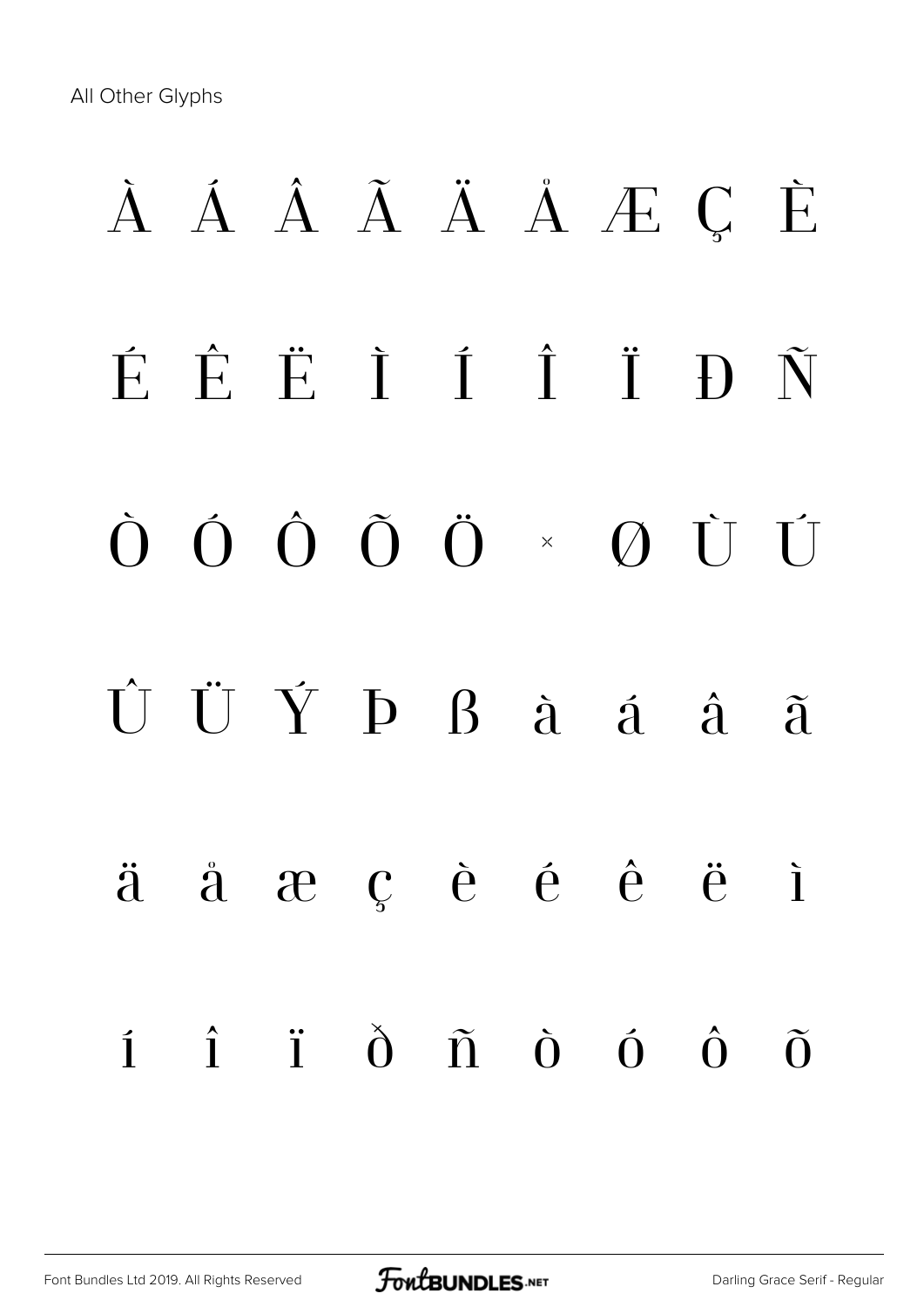All Other Glyphs

# À Á Â Ã Ä Å Æ Ç È É Ê Ë Ì Í Î Ï Ð Ñ Ò Ó Ô Õ Ö × Ø Ù Ú Û Ü Ý Þ ß à á â ã ä å æ ç è é ê ë ì í î ï ð ñ ò ó ô õ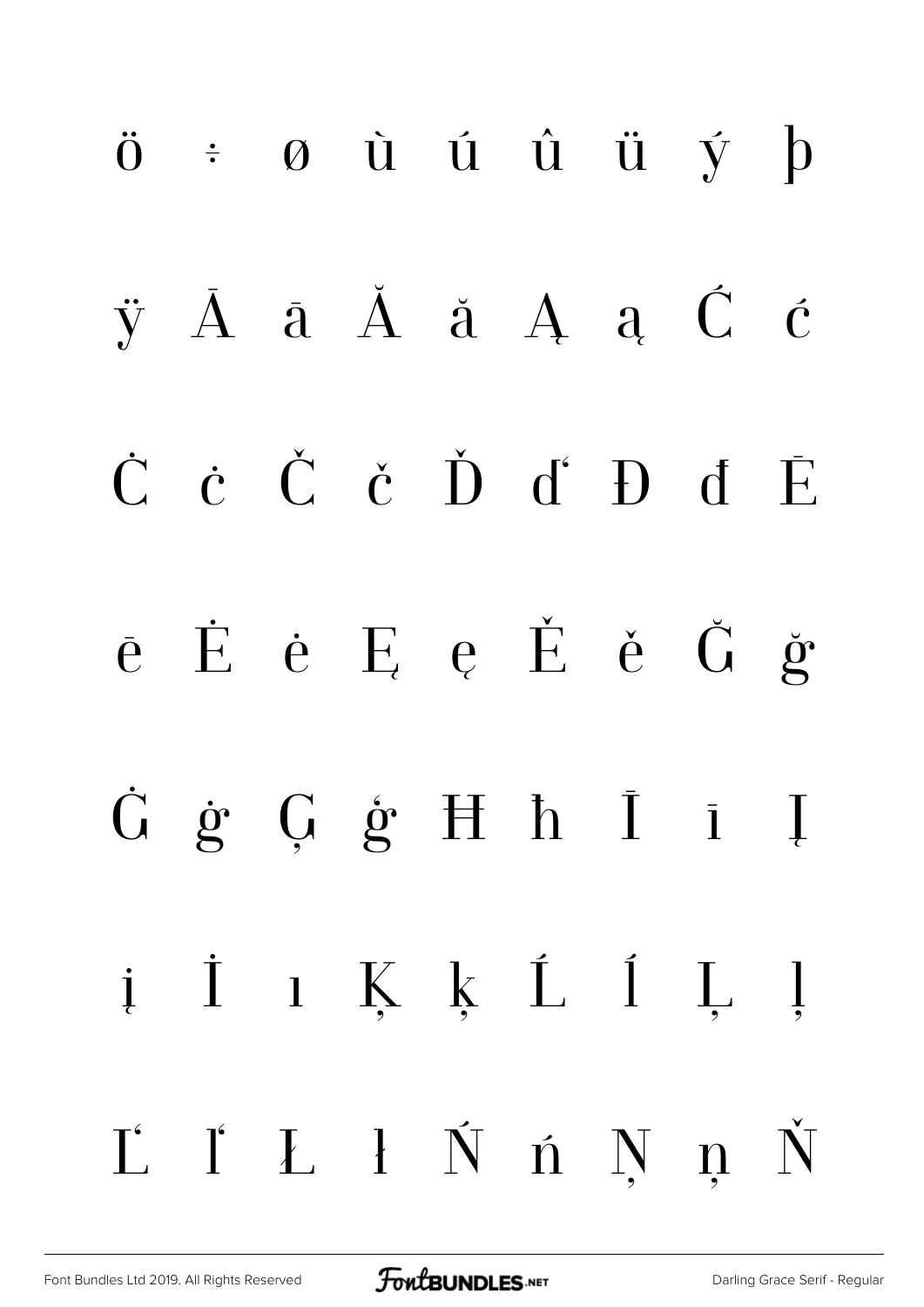ö ÷ ø ù ú û ü ý þ ÿ Ā ā Ă ă Ą ą Ć ć Ċ ċ Č č Ď ď Đ đ Ē ē Ė ė Ę ę Ě ě Ğ ğ Ġ ġ Ģ ģ Ħ ħ Ī ī Į į İ ı Ķ ķ Ĺ ĺ Ļ ļ Ľ ľ Ł ł Ń ń Ņ ņ Ň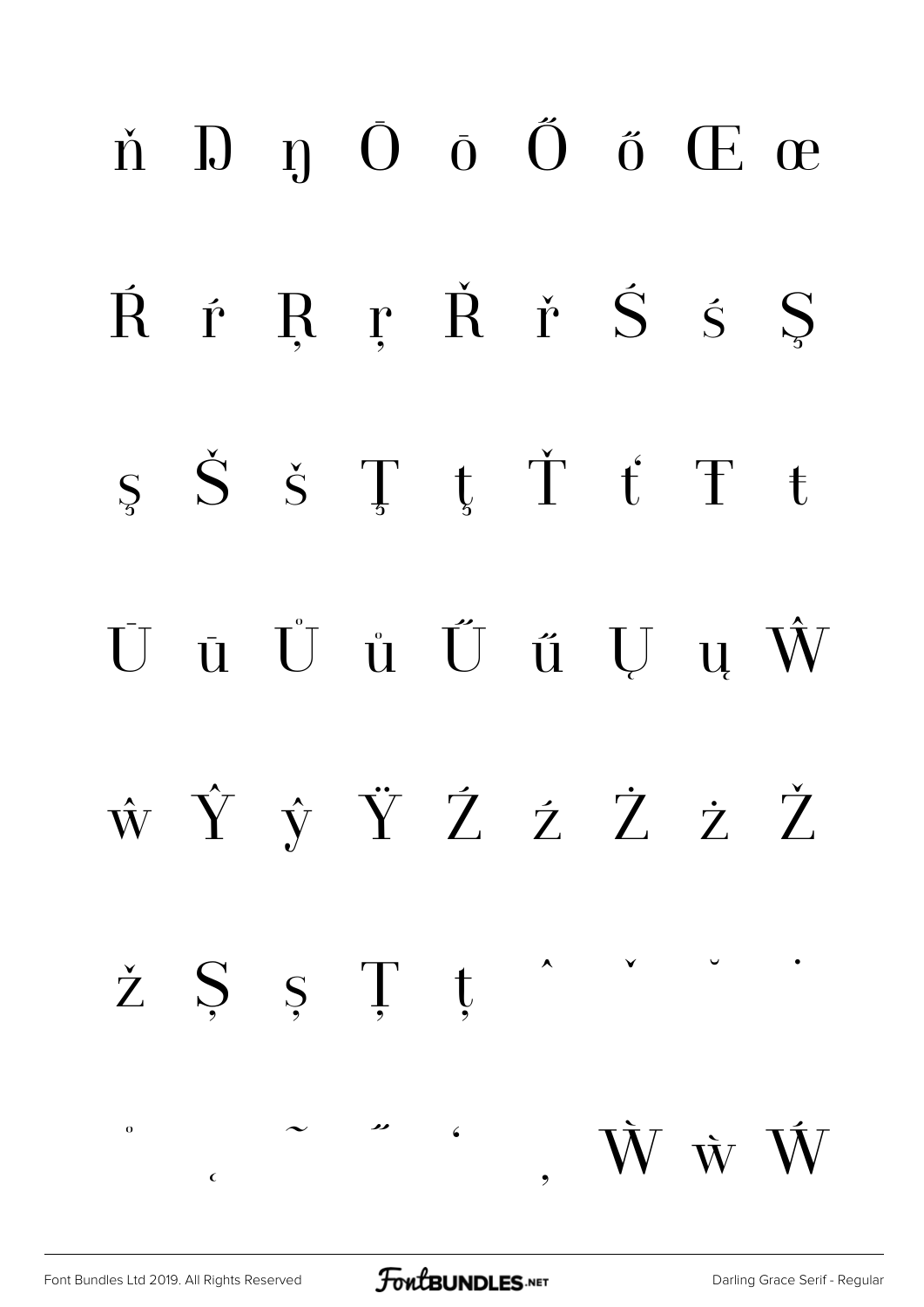## ň Ŋ ŋ Ō ō Ő ő Œ œ Ŕ ŕ Ŗ ŗ Ř ř Ś ś Ş ş Š š Ţ ţ Ť ť Ŧ ŧ Ū ū Ů ů Ű ű Ų ų Ŵ ŵ Ŷ ŷ Ÿ Ź ź Ż ż Ž  $\check{z}$   $\check{S}$   $\check{S}$   $\check{T}$   $\check{t}$ ˚ ˛ ˜ ˝ ̒  $\ddot{\phantom{0}}$ W w W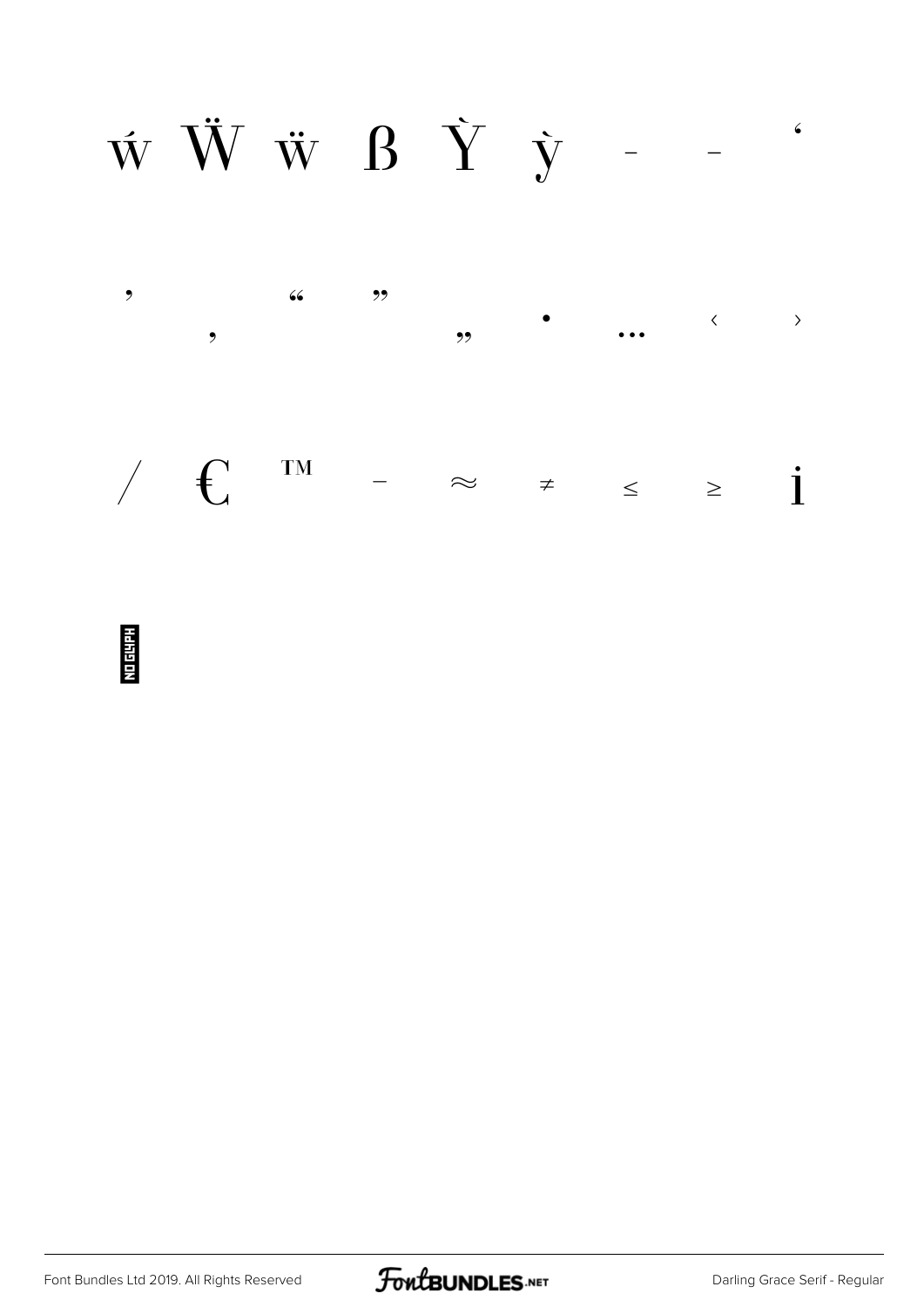$\label{eq:WWW} \begin{array}{cccccc} \dot{\mathbf{W}} & \dot{\mathbf{W}} & \dot{\mathbf{W}} & \mathbf{B} & \dot{\mathbf{Y}} & \dot{\mathbf{y}} & - \end{array} \qquad \epsilon$ 



<u>No 6488</u>

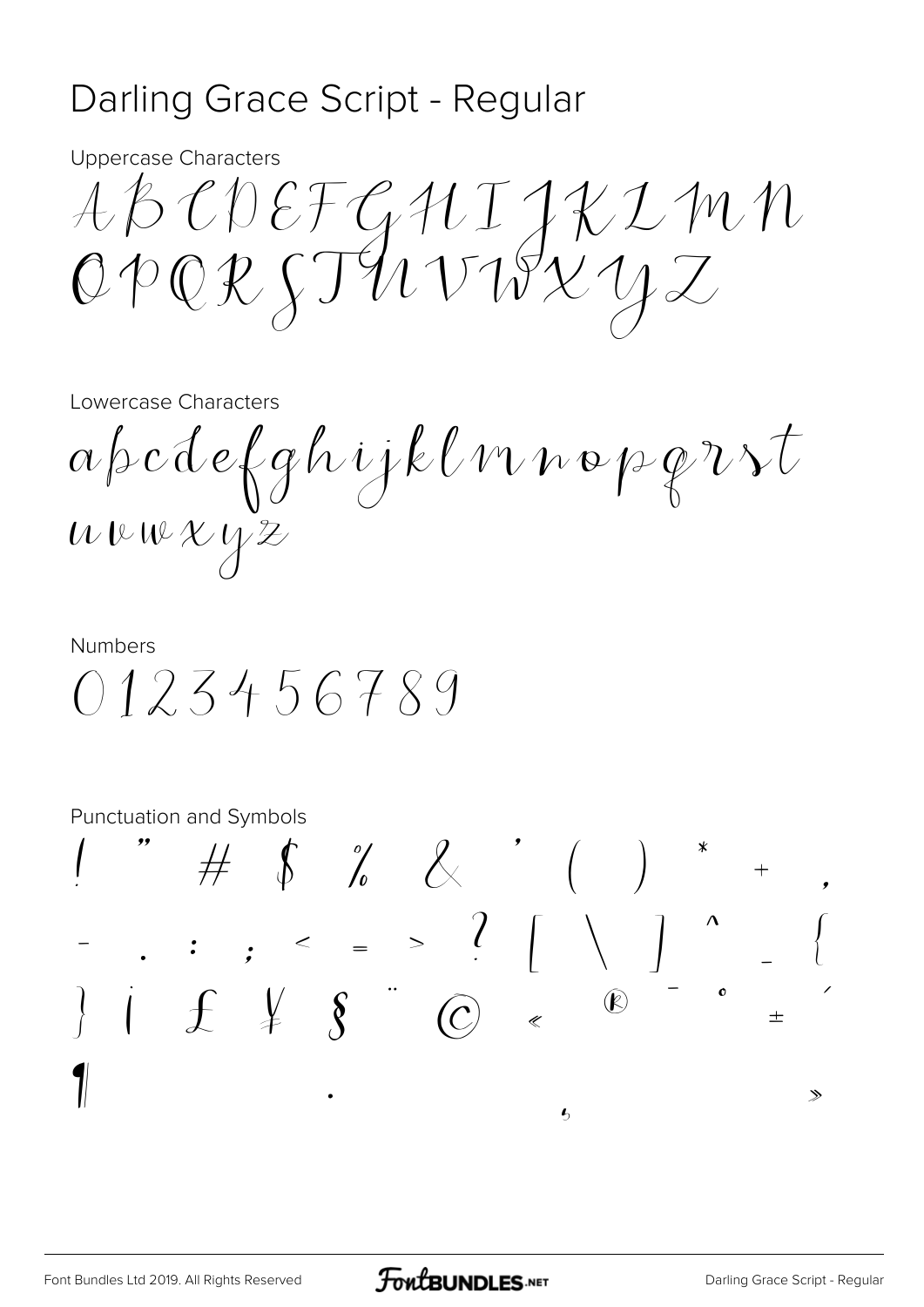#### Darling Grace Script - Regular

**Uppercase Characters** 

ABCDEFGUIJKIMN<br>OPORJTUVIVLYZ

#### Lowercase Characters

 $\alpha \beta c d e \beta g h i j k l w n o \beta g v v t$  $uvwXYZ$ 

**Numbers** 0123456789

Punctuation and Symbols

 $\# \quad \ \ \oint \quad \ \ \, \frac{\partial}{\partial t} \qquad \ \ \, \oint \qquad \qquad \qquad \qquad \qquad \ \ \, \bigg(\qquad \qquad \bigg)$ . . . .  $=$   $\begin{array}{c} . & . & . & . \\ & . & . & . \\ & . & . & . & . \\ & . & . & . & . \end{array}$  $\pm$  $\gg$  $\mathbf{r}$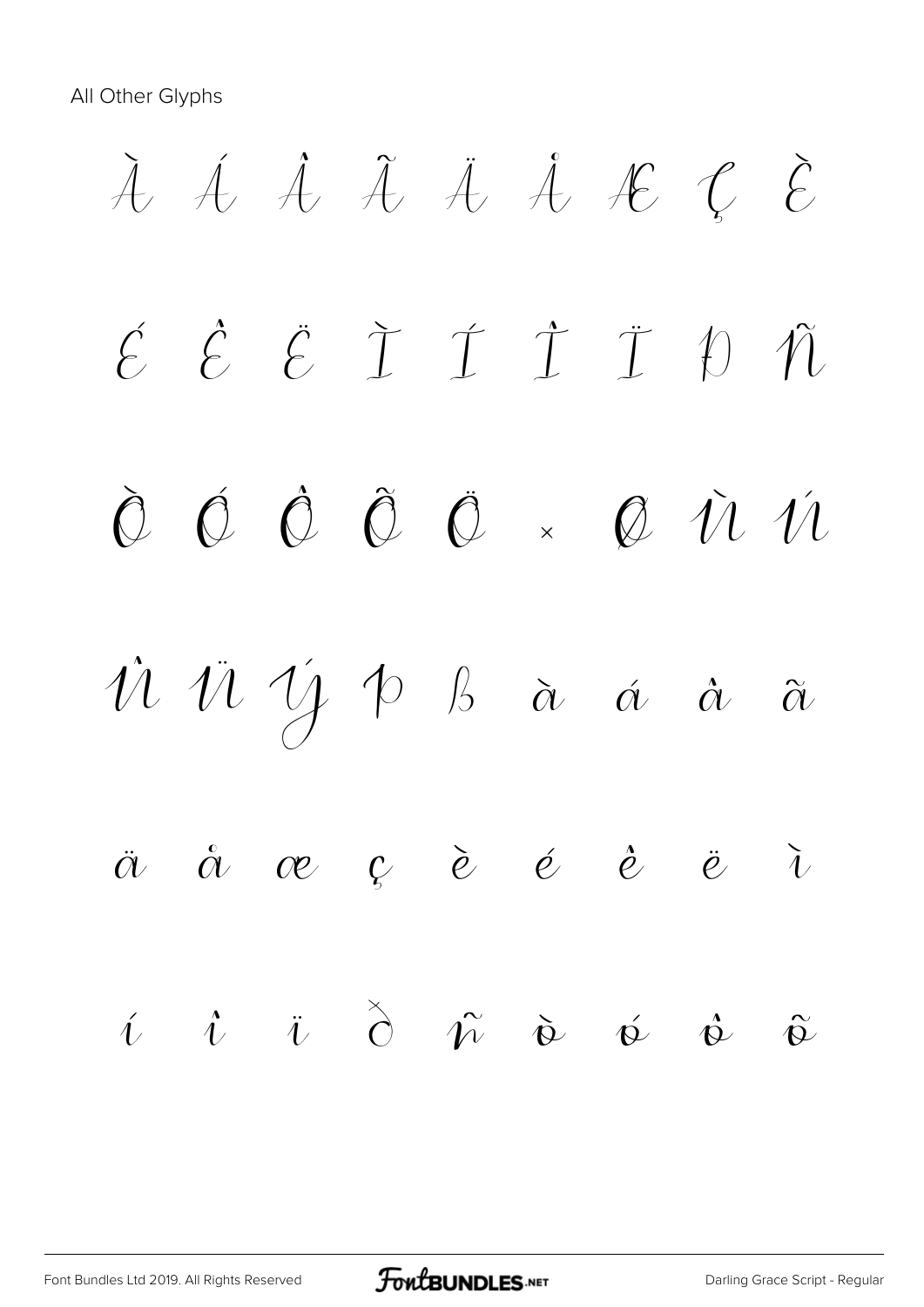All Other Glyphs

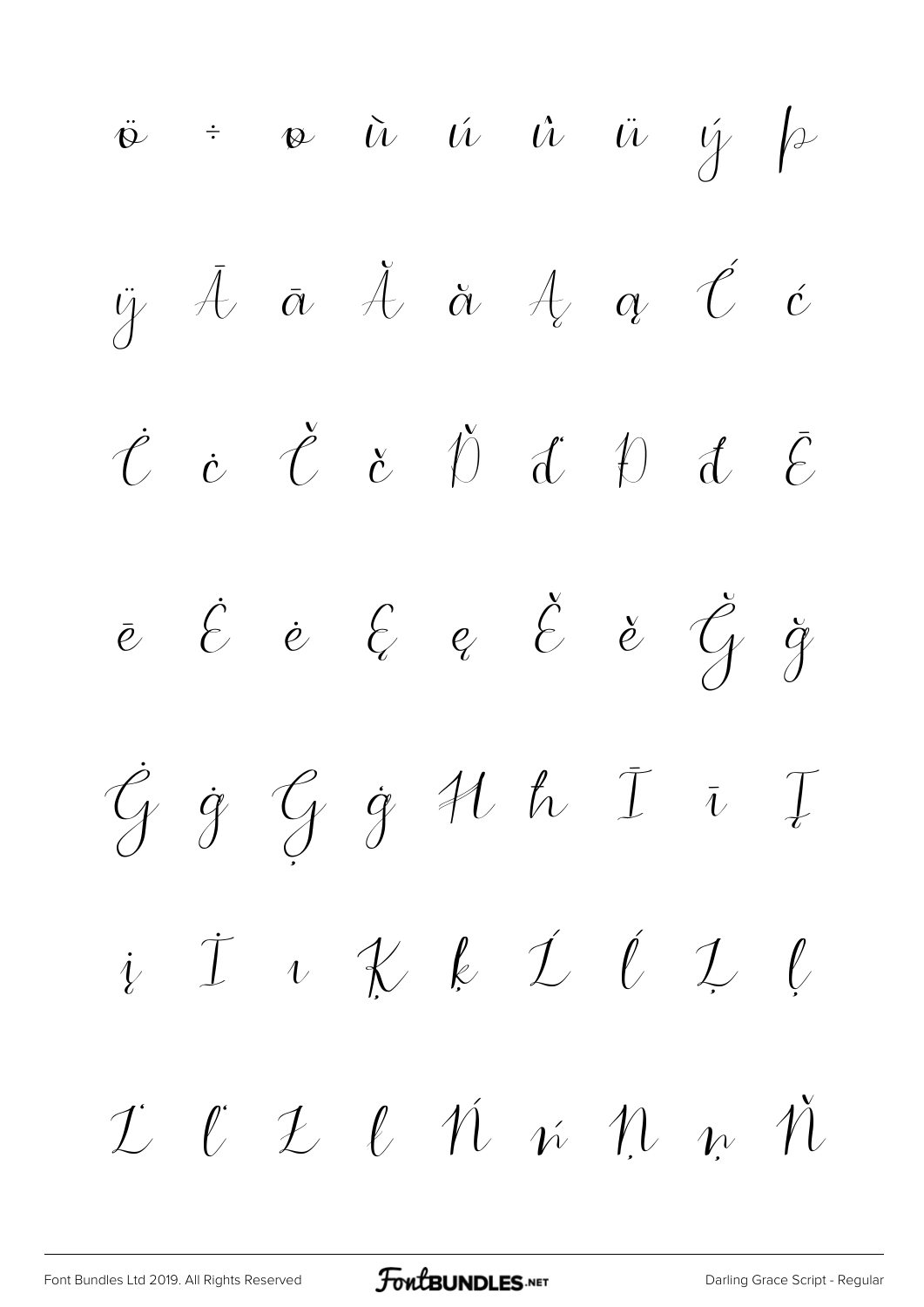$\ddot{\phi}$  ÷  $\phi$   $\ddot{u}$   $\dot{u}$   $\ddot{u}$   $\ddot{u}$   $\dot{y}$   $\beta$  $\ddot{y}$   $\ddot{A}$   $\ddot{a}$   $\ddot{A}$   $\ddot{a}$   $\ddot{a}$   $\ddot{c}$  $\dot{\mathcal{C}}$   $\dot{\mathcal{C}}$   $\dot{\mathcal{C}}$   $\ddot{\mathcal{D}}$   $\ddot{\mathcal{C}}$   $\ddot{\mathcal{C}}$ ē Ė ė Ę ę Ě ě Ğ ğ Ġ ġ Ģ ģ Ħ ħ Ī ī Į į İ ı Ķ ķ Ĺ ĺ Ļ ļ Ľ ľ Ł ł Ń ń Ņ ņ Ň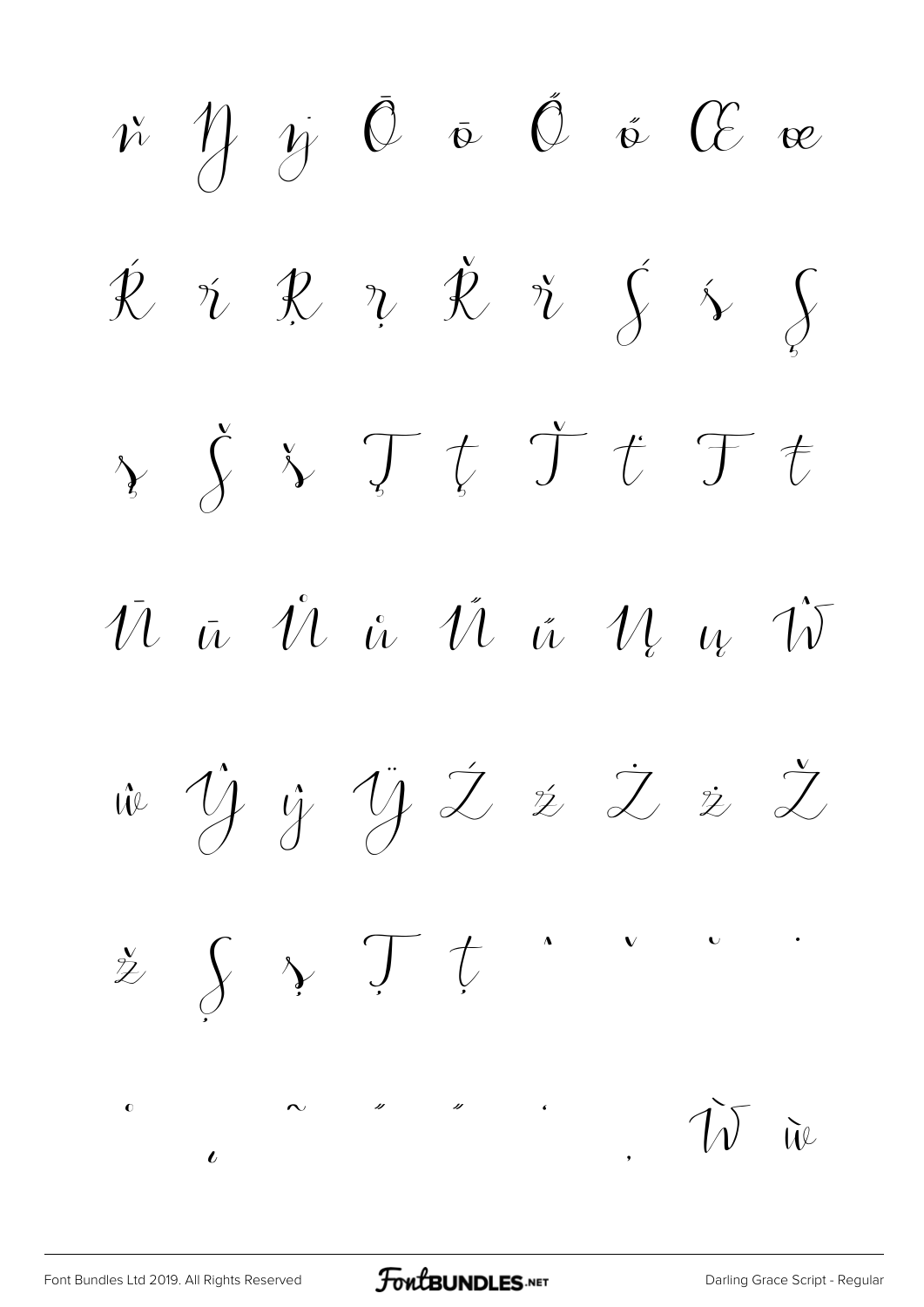ň Ŋ ŋ Ō ō Ő ő Œ œ  $\acute{\mathcal{R}}$   $\acute{\mathcal{R}}$   $\ddot{\mathcal{R}}$   $\ddot{\mathcal{R}}$   $\acute{\mathcal{R}}$   $\acute{\mathcal{S}}$   $\acute{\mathcal{S}}$  $\gamma$   $\zeta$   $\lambda$   $\mathcal{T}$   $t$   $\mathcal{T}$   $t$   $\mathcal{T}$   $t$  $\bar{u}$   $\bar{u}$   $\hat{u}$   $\bar{u}$   $\bar{u}$   $\bar{u}$   $\bar{w}$   $\bar{w}$ ŵ Ŷ ŷ Ÿ Ź ź Ż ż Ž  $\frac{x}{z} \int \sqrt{x} \int f$ ˜ ˝ ̋ ̒ ̦ Ẁ ẁ  $\bullet$  $\iota$  $\overline{c}$